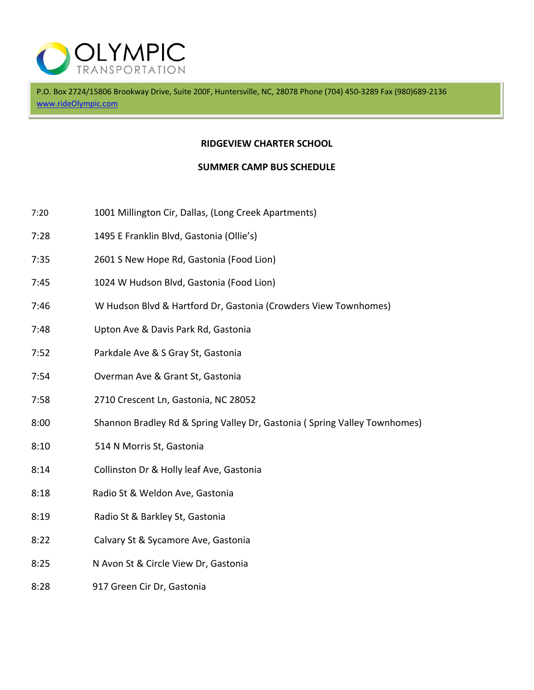

P.O. Box 2724/15806 Brookway Drive, Suite 200F, Huntersville, NC, 28078 Phone (704) 450-3289 Fax (980)689-2136 www.rideOlympic.com

## **RIDGEVIEW CHARTER SCHOOL**

## **SUMMER CAMP BUS SCHEDULE**

- 7:20 1001 Millington Cir, Dallas, (Long Creek Apartments)
- 7:28 1495 E Franklin Blvd, Gastonia (Ollie's)
- 7:35 2601 S New Hope Rd, Gastonia (Food Lion)
- 7:45 1024 W Hudson Blvd, Gastonia (Food Lion)
- 7:46 W Hudson Blvd & Hartford Dr, Gastonia (Crowders View Townhomes)
- 7:48 Upton Ave & Davis Park Rd, Gastonia
- 7:52 Parkdale Ave & S Gray St, Gastonia
- 7:54 Overman Ave & Grant St, Gastonia
- 7:58 2710 Crescent Ln, Gastonia, NC 28052
- 8:00 Shannon Bradley Rd & Spring Valley Dr, Gastonia ( Spring Valley Townhomes)
- 8:10 514 N Morris St, Gastonia
- 8:14 Collinston Dr & Holly leaf Ave, Gastonia
- 8:18 Radio St & Weldon Ave, Gastonia
- 8:19 Radio St & Barkley St, Gastonia
- 8:22 Calvary St & Sycamore Ave, Gastonia
- 8:25 N Avon St & Circle View Dr, Gastonia
- 8:28 917 Green Cir Dr, Gastonia